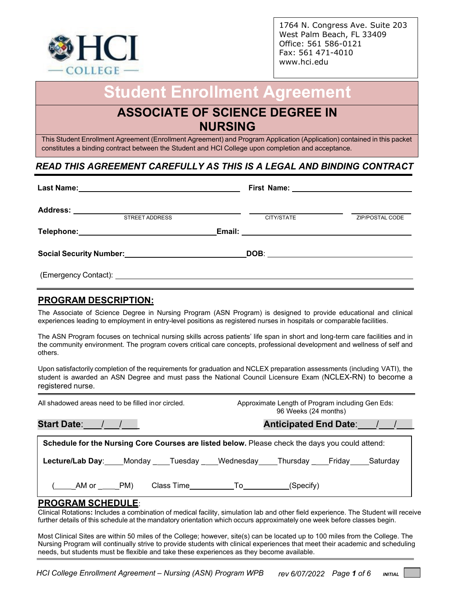

1764 N. Congress Ave. Suite 203 West Palm Beach, FL 33409 Office: 561 586-0121 Fax: 561 471-4010 [www.hci.edu](http://www.hci.edu/)

# **Student Enrollment Agreement**

## **ASSOCIATE OF SCIENCE D[EGREE I](http://www.hci.edu/)N NURSING**

This Student Enrollment Agreement (Enrollment Agreement) and Program Application (Application) contained in this packet constitutes a binding contract between the Student and HCI College upon completion and acceptance.

### *READ THIS AGREEMENT CAREFULLY AS THIS IS A LEGAL AND BINDING CONTRACT*

| <b>STREET ADDRESS</b>                                      | CITY/STATE | ZIP/POSTAL CODE |
|------------------------------------------------------------|------------|-----------------|
|                                                            |            |                 |
| Social Security Number:<br><u> Social Security Number:</u> |            |                 |
|                                                            |            |                 |

#### **PROGRAM DESCRIPTION:**

The Associate of Science Degree in Nursing Program (ASN Program) is designed to provide educational and clinical experiences leading to employment in entry-level positions as registered nurses in hospitals or comparable facilities.

The ASN Program focuses on technical nursing skills across patients' life span in short and long-term care facilities and in the community environment. The program covers critical care concepts, professional development and wellness of self and others.

Upon satisfactorily completion of the requirements for graduation and NCLEX preparation assessments (including VATI), the student is awarded an ASN Degree and must pass the National Council Licensure Exam (NCLEX-RN) to become a registered nurse.

| All shadowed areas need to be filled inor circled. | Approximate Length of Program including Gen Eds:<br>96 Weeks (24 months)                        |
|----------------------------------------------------|-------------------------------------------------------------------------------------------------|
|                                                    | Anticipated End Date: / /                                                                       |
|                                                    | Schedule for the Nursing Core Courses are listed below. Please check the days you could attend: |
|                                                    | Lecture/Lab Day: Monday ___Tuesday ___Wednesday ____Thursday ____Friday ____Saturday            |
| ( AM or PM)                                        | Class Time______________To____________(Specify)                                                 |

#### **PROGRAM SCHEDULE**:

Clinical Rotations**:** Includes a combination of medical facility, simulation lab and other field experience. The Student will receive further details of this schedule at the mandatory orientation which occurs approximately one week before classes begin.

Most Clinical Sites are within 50 miles of the College; however, site(s) can be located up to 100 miles from the College. The Nursing Program will continually strive to provide students with clinical experiences that meet their academic and scheduling needs, but students must be flexible and take these experiences as they become available.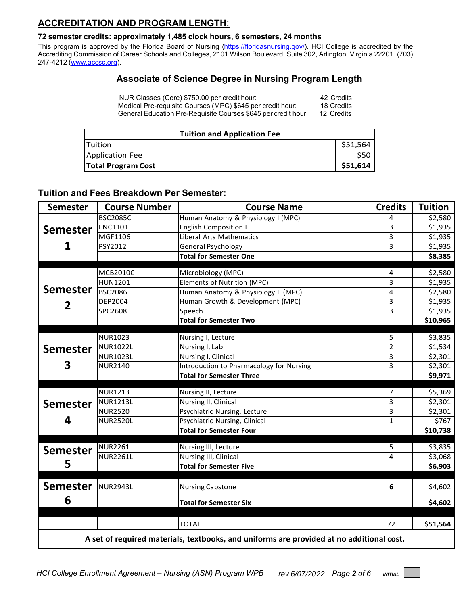### **ACCREDITATION AND PROGRAM LENGTH**:

#### **72 semester credits: approximately 1,485 clock hours, 6 semesters, 24 months**

This program is approved by the Florida Board of Nursing [\(https://floridasnursing.gov/\)](https://floridasnursing.gov/). HCI College is accredited by the Accrediting Commission of Career Schools and Colleges, 2101 Wilson Boulevard, Suite 302, Arlington, Virginia 22201. (703) 247-4212 [\(www.accsc.org\)](http://www.accsc.org/).

### **Associate of Science Degree in Nursing Program Length**

| NUR Classes (Core) \$750.00 per credit hour:                   | 42 Credits |
|----------------------------------------------------------------|------------|
| Medical Pre-requisite Courses (MPC) \$645 per credit hour:     | 18 Credits |
| General Education Pre-Requisite Courses \$645 per credit hour: | 12 Credits |

| <b>Tuition and Application Fee</b> |          |  |
|------------------------------------|----------|--|
| <b>ITuition</b>                    | \$51,564 |  |
| Application Fee                    |          |  |
| <b>Total Program Cost</b>          | \$51,614 |  |

#### **Tuition and Fees Breakdown Per Semester:**

| <b>Semester</b> | <b>Course Number</b> | <b>Course Name</b>                                                                                       | <b>Credits</b> | <b>Tuition</b> |
|-----------------|----------------------|----------------------------------------------------------------------------------------------------------|----------------|----------------|
|                 | <b>BSC2085C</b>      | Human Anatomy & Physiology I (MPC)                                                                       | 4              | \$2,580        |
| <b>Semester</b> | <b>ENC1101</b>       | <b>English Composition I</b>                                                                             | 3              | \$1,935        |
| 1               | MGF1106              | <b>Liberal Arts Mathematics</b>                                                                          | $\overline{3}$ | \$1,935        |
|                 | PSY2012              | <b>General Psychology</b>                                                                                | 3              | \$1,935        |
|                 |                      | <b>Total for Semester One</b>                                                                            |                | \$8,385        |
|                 | <b>MCB2010C</b>      | Microbiology (MPC)                                                                                       | 4              | \$2,580        |
|                 | <b>HUN1201</b>       | Elements of Nutrition (MPC)                                                                              | 3              | \$1,935        |
| <b>Semester</b> | <b>BSC2086</b>       | Human Anatomy & Physiology II (MPC)                                                                      | 4              | \$2,580        |
|                 | DEP2004              | Human Growth & Development (MPC)                                                                         | 3              | \$1,935        |
| 2               | SPC2608              | Speech                                                                                                   | 3              | \$1,935        |
|                 |                      | <b>Total for Semester Two</b>                                                                            |                | \$10,965       |
|                 |                      |                                                                                                          |                |                |
|                 | <b>NUR1023</b>       | Nursing I, Lecture                                                                                       | 5              | \$3,835        |
| <b>Semester</b> | <b>NUR1022L</b>      | Nursing I, Lab                                                                                           | $\overline{2}$ | \$1,534        |
|                 | <b>NUR1023L</b>      | Nursing I, Clinical                                                                                      | 3              | \$2,301        |
| 3               | <b>NUR2140</b>       | Introduction to Pharmacology for Nursing                                                                 | 3              | \$2,301        |
|                 |                      | <b>Total for Semester Three</b>                                                                          |                | \$9,971        |
|                 | <b>NUR1213</b>       | Nursing II, Lecture                                                                                      | $\overline{7}$ | \$5,369        |
| <b>Semester</b> | <b>NUR1213L</b>      | Nursing II, Clinical                                                                                     | 3              | \$2,301        |
|                 | <b>NUR2520</b>       | Psychiatric Nursing, Lecture                                                                             | 3              | \$2,301        |
| 4               | <b>NUR2520L</b>      | Psychiatric Nursing, Clinical                                                                            | $\mathbf{1}$   | \$767          |
|                 |                      | <b>Total for Semester Four</b>                                                                           |                | \$10,738       |
| <b>Semester</b> | <b>NUR2261</b>       | Nursing III, Lecture                                                                                     | 5              | \$3,835        |
|                 | <b>NUR2261L</b>      | Nursing III, Clinical                                                                                    | 4              | \$3,068        |
| 5               |                      | <b>Total for Semester Five</b>                                                                           |                | \$6,903        |
|                 |                      |                                                                                                          |                |                |
| <b>Semester</b> | NUR2943L             | <b>Nursing Capstone</b>                                                                                  | 6              | \$4,602        |
| 6               |                      | <b>Total for Semester Six</b>                                                                            |                | \$4,602        |
|                 |                      |                                                                                                          |                |                |
|                 |                      |                                                                                                          |                | \$51,564       |
|                 |                      | <b>TOTAL</b><br>A set of required materials, textbooks, and uniforms are provided at no additional cost. | 72             |                |

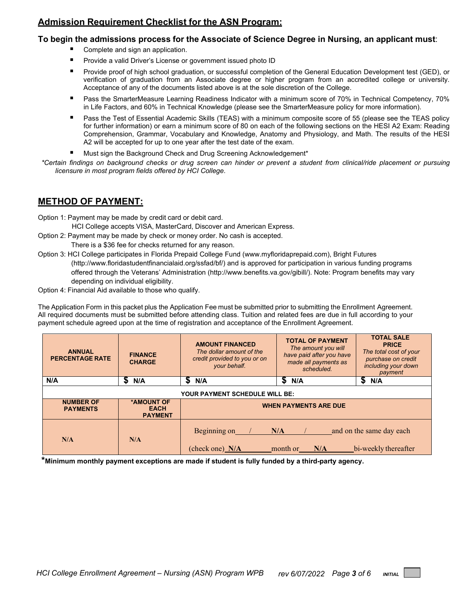#### **Admission Requirement Checklist for the ASN Program:**

#### **To begin the admissions process for the Associate of Science Degree in Nursing, an applicant must**:

- Complete and sign an application.
- Provide a valid Driver's License or government issued photo ID
- Provide proof of high school graduation, or successful completion of the General Education Development test (GED), or verification of graduation from an Associate degree or higher program from an accredited college or university. Acceptance of any of the documents listed above is at the sole discretion of the College.
- Pass the SmarterMeasure Learning Readiness Indicator with a minimum score of 70% in Technical Competency, 70% in Life Factors, and 60% in Technical Knowledge (please see the SmarterMeasure policy for more information).
- **Pass the Test of Essential Academic Skills (TEAS) with a minimum composite score of 55 (please see the TEAS policy** for further information) or earn a minimum score of 80 on each of the following sections on the HESI A2 Exam: Reading Comprehension, Grammar, Vocabulary and Knowledge, Anatomy and Physiology, and Math. The results of the HESI A2 will be accepted for up to one year after the test date of the exam.
- Must sign the Background Check and Drug Screening Acknowledgement\*
- *\*Certain findings on background checks or drug screen can hinder or prevent a student from clinical/ride placement or pursuing licensure in most program fields offered by HCI College.*

#### **METHOD OF PAYMENT:**

Option 1: Payment may be made by credit card or debit card.

HCI College accepts VISA, MasterCard, Discover and American Express.

- Option 2: Payment may be made by check or money order. No cash is accepted. There is a \$36 fee for checks returned for any reason.
- Option 3: HCI College participates in Florida Prepaid College Fund (www.myfloridaprepaid.com), Bright Futures [\(http://www.floridastudentfinancialaid.org/ssfad/bf/\)](http://www.floridastudentfinancialaid.org/ssfad/bf/) and is approved for participation in various funding programs offered through the Veterans' Administration [\(http://www.benefits.va.gov/gibill/\)](http://www.benefits.va.gov/gibill/). Note: Program benefits may vary depending on individual eligibility.
- Option 4: Financial Aid available to those who qualify.

The Application Form in this packet plus the Application Fee must be submitted prior to submitting the Enrollment Agreement. All required documents must be submitted before attending class. Tuition and related fees are due in full according to your payment schedule agreed upon at the time of registration and acceptance of the Enrollment Agreement.

| <b>ANNUAL</b><br><b>PERCENTAGE RATE</b> | <b>FINANCE</b><br><b>CHARGE</b>             | <b>AMOUNT FINANCED</b><br>The dollar amount of the<br>credit provided to you or on<br>your behalf. | <b>TOTAL OF PAYMENT</b><br>The amount you will<br>have paid after you have<br>made all payments as<br>scheduled. | <b>TOTAL SALE</b><br><b>PRICE</b><br>The total cost of your<br>purchase on credit<br>including your down<br>payment |
|-----------------------------------------|---------------------------------------------|----------------------------------------------------------------------------------------------------|------------------------------------------------------------------------------------------------------------------|---------------------------------------------------------------------------------------------------------------------|
| N/A                                     | S<br>N/A                                    | 5<br>N/A                                                                                           | \$<br>N/A                                                                                                        | S<br>N/A                                                                                                            |
| <b>YOUR PAYMENT SCHEDULE WILL BE:</b>   |                                             |                                                                                                    |                                                                                                                  |                                                                                                                     |
| <b>NUMBER OF</b><br><b>PAYMENTS</b>     | *AMOUNT OF<br><b>EACH</b><br><b>PAYMENT</b> | <b>WHEN PAYMENTS ARE DUE</b>                                                                       |                                                                                                                  |                                                                                                                     |
| N/A                                     | N/A                                         | Beginning on<br>(check one) N/A                                                                    | N/A<br>month or<br>N/A                                                                                           | and on the same day each<br>bi-weekly thereafter                                                                    |

**\*Minimum monthly payment exceptions are made if student is fully funded by a third-party agency.**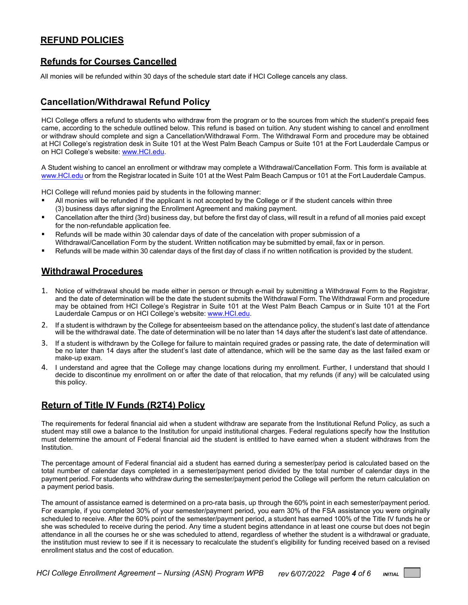#### **REFUND POLICIES**

#### **Refunds for Courses Cancelled**

All monies will be refunded within 30 days of the schedule start date if HCI College cancels any class.

### **Cancellation/Withdrawal Refund Policy**

HCI College offers a refund to students who withdraw from the program or to the sources from which the student's prepaid fees came, according to the schedule outlined below. This refund is based on tuition. Any student wishing to cancel and enrollment or withdraw should complete and sign a Cancellation/Withdrawal Form. The Withdrawal Form and procedure may be obtained at HCI College's registration desk in Suite 101 at the West Palm Beach Campus or Suite 101 at the Fort Lauderdale Campus or on HCI College's website: [www.HCI.edu.](http://www.hci.edu/)

A Student wishing to cancel an enrollment or withdraw may complete a Withdrawal/Cancellation Form. This form is available at [www.HCI.edu](http://www.hci.edu/) or from the Registrar located in Suite 101 at the West Palm Beach Campus or 101 at the Fort Lauderdale Campus.

HCI College will refund monies paid by students in the following manner:

- All monies will be refunded if the applicant is not accepted by the College or if the student cancels within three (3) business days after signing the Enrollment Agreement and making payment.
- Cancellation after the third (3rd) business day, but before the first day of class, will result in a refund of all monies paid except for the non-refundable application fee.
- Refunds will be made within 30 calendar days of date of the cancelation with proper submission of a Withdrawal/Cancellation Form by the student. Written notification may be submitted by email, fax or in person.
- Refunds will be made within 30 calendar days of the first day of class if no written notification is provided by the student.

#### **Withdrawal Procedures**

- 1. Notice of withdrawal should be made either in person or through e-mail by submitting a Withdrawal Form to the Registrar, and the date of determination will be the date the student submits the Withdrawal Form. The Withdrawal Form and procedure may be obtained from HCI College's Registrar in Suite 101 at the West Palm Beach Campus or in Suite 101 at the Fort Lauderdale Campus or on HCI College's website: [www.HCI.edu.](http://www.hci.edu/)
- 2. If a student is withdrawn by the College for absenteeism based on the attendance policy, the student's last date of attendance will be the withdrawal date. The date of determination will be no later than 14 days after the student's last date of attendance.
- 3. If a student is withdrawn by the College for failure to maintain required grades or passing rate, the date of determination will be no later than 14 days after the student's last date of attendance, which will be the same day as the last failed exam or make-up exam.
- 4. I understand and agree that the College may change locations during my enrollment. Further, I understand that should I decide to discontinue my enrollment on or after the date of that relocation, that my refunds (if any) will be calculated using this policy.

#### **Return of Title IV Funds (R2T4) Policy**

The requirements for federal financial aid when a student withdraw are separate from the Institutional Refund Policy, as such a student may still owe a balance to the Institution for unpaid institutional charges. Federal regulations specify how the Institution must determine the amount of Federal financial aid the student is entitled to have earned when a student withdraws from the Institution.

The percentage amount of Federal financial aid a student has earned during a semester/pay period is calculated based on the total number of calendar days completed in a semester/payment period divided by the total number of calendar days in the payment period. For students who withdraw during the semester/payment period the College will perform the return calculation on a payment period basis.

The amount of assistance earned is determined on a pro-rata basis, up through the 60% point in each semester/payment period. For example, if you completed 30% of your semester/payment period, you earn 30% of the FSA assistance you were originally scheduled to receive. After the 60% point of the semester/payment period, a student has earned 100% of the Title IV funds he or she was scheduled to receive during the period. Any time a student begins attendance in at least one course but does not begin attendance in all the courses he or she was scheduled to attend, regardless of whether the student is a withdrawal or graduate, the institution must review to see if it is necessary to recalculate the student's eligibility for funding received based on a revised enrollment status and the cost of education.

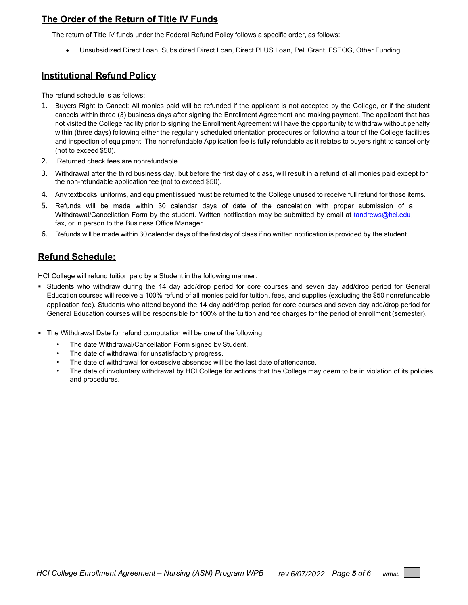### **The Order of the Return of Title IV Funds**

The return of Title IV funds under the Federal Refund Policy follows a specific order, as follows:

• Unsubsidized Direct Loan, Subsidized Direct Loan, Direct PLUS Loan, Pell Grant, FSEOG, Other Funding.

#### **Institutional Refund Policy**

The refund schedule is as follows:

- 1. Buyers Right to Cancel: All monies paid will be refunded if the applicant is not accepted by the College, or if the student cancels within three (3) business days after signing the Enrollment Agreement and making payment. The applicant that has not visited the College facility prior to signing the Enrollment Agreement will have the opportunity to withdraw without penalty within (three days) following either the regularly scheduled orientation procedures or following a tour of the College facilities and inspection of equipment. The nonrefundable Application fee is fully refundable as it relates to buyers right to cancel only (not to exceed \$50).
- 2. Returned check fees are nonrefundable*.*
- 3. Withdrawal after the third business day, but before the first day of class, will result in a refund of all monies paid except for the non-refundable application fee (not to exceed \$50).
- 4. Any textbooks, uniforms, and equipment issued must be returned to the College unused to receive full refund for those items.
- 5. Refunds will be made within 30 calendar days of date of the cancelation with proper submission of a Withdrawal/Cancellation Form by the student. Written notification may be submitted by email at [tandrews@hci.edu,](mailto:tandrews@hci.edu) [fa](mailto:tandrews@hci.edu)x, or in person to the Business Office Manager.
- 6. Refunds will be made within 30 calendar days of the first day of class if no written notification is provided by the student.

#### **Refund Schedule:**

HCI College will refund tuition paid by a Student in the following manner:

- Students who withdraw during the 14 day add/drop period for core courses and seven day add/drop period for General Education courses will receive a 100% refund of all monies paid for tuition, fees, and supplies (excluding the \$50 nonrefundable application fee). Students who attend beyond the 14 day add/drop period for core courses and seven day add/drop period for General Education courses will be responsible for 100% of the tuition and fee charges for the period of enrollment (semester).
- The Withdrawal Date for refund computation will be one of the following:
	- The date Withdrawal/Cancellation Form signed by Student.
	- The date of withdrawal for unsatisfactory progress.
	- The date of withdrawal for excessive absences will be the last date of attendance.
	- The date of involuntary withdrawal by HCI College for actions that the College may deem to be in violation of its policies and procedures.